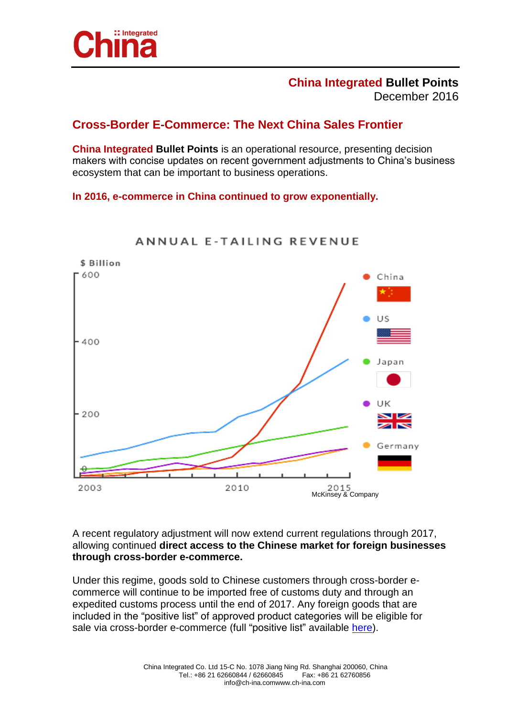

## **China Integrated Bullet Points** December 2016

## **Cross-Border E-Commerce: The Next China Sales Frontier**

**China Integrated Bullet Points** is an operational resource, presenting decision makers with concise updates on recent government adjustments to China's business ecosystem that can be important to business operations.

## **In 2016, e-commerce in China continued to grow exponentially.**



ANNUAL E-TAILING REVENUE

A recent regulatory adjustment will now extend current regulations through 2017, allowing continued **direct access to the Chinese market for foreign businesses through cross-border e-commerce.** 

Under this regime, goods sold to Chinese customers through cross-border ecommerce will continue to be imported free of customs duty and through an expedited customs process until the end of 2017. Any foreign goods that are included in the "positive list" of approved product categories will be eligible for sale via cross-border e-commerce (full "positive list" available [here\)](http://www.s-ge.com/sites/default/files/censhare_files/list-imported-commodities-retail-cross-border-e-commerce.pdf).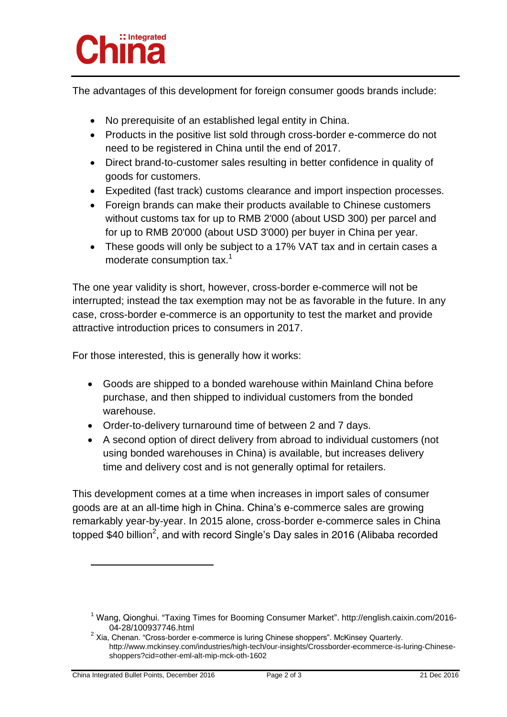

The advantages of this development for foreign consumer goods brands include:

- No prerequisite of an established legal entity in China.
- Products in the positive list sold through cross-border e-commerce do not need to be registered in China until the end of 2017.
- Direct brand-to-customer sales resulting in better confidence in quality of goods for customers.
- Expedited (fast track) customs clearance and import inspection processes.
- Foreign brands can make their products available to Chinese customers without customs tax for up to RMB 2'000 (about USD 300) per parcel and for up to RMB 20'000 (about USD 3'000) per buyer in China per year.
- These goods will only be subject to a 17% VAT tax and in certain cases a moderate consumption tax.<sup>1</sup>

The one year validity is short, however, cross-border e-commerce will not be interrupted; instead the tax exemption may not be as favorable in the future. In any case, cross-border e-commerce is an opportunity to test the market and provide attractive introduction prices to consumers in 2017.

For those interested, this is generally how it works:

- Goods are shipped to a bonded warehouse within Mainland China before purchase, and then shipped to individual customers from the bonded warehouse.
- Order-to-delivery turnaround time of between 2 and 7 days.
- A second option of direct delivery from abroad to individual customers (not using bonded warehouses in China) is available, but increases delivery time and delivery cost and is not generally optimal for retailers.

This development comes at a time when increases in import sales of consumer goods are at an all-time high in China. China's e-commerce sales are growing remarkably year-by-year. In 2015 alone, cross-border e-commerce sales in China topped \$40 billion<sup>2</sup>, and with record Single's Day sales in 2016 (Alibaba recorded

<sup>1</sup> Wang, Qionghui. "Taxing Times for Booming Consumer Market". http://english.caixin.com/2016- 04-28/100937746.html

 $2$  Xia, Chenan. "Cross-border e-commerce is luring Chinese shoppers". McKinsey Quarterly. http://www.mckinsey.com/industries/high-tech/our-insights/Crossborder-ecommerce-is-luring-Chineseshoppers?cid=other-eml-alt-mip-mck-oth-1602